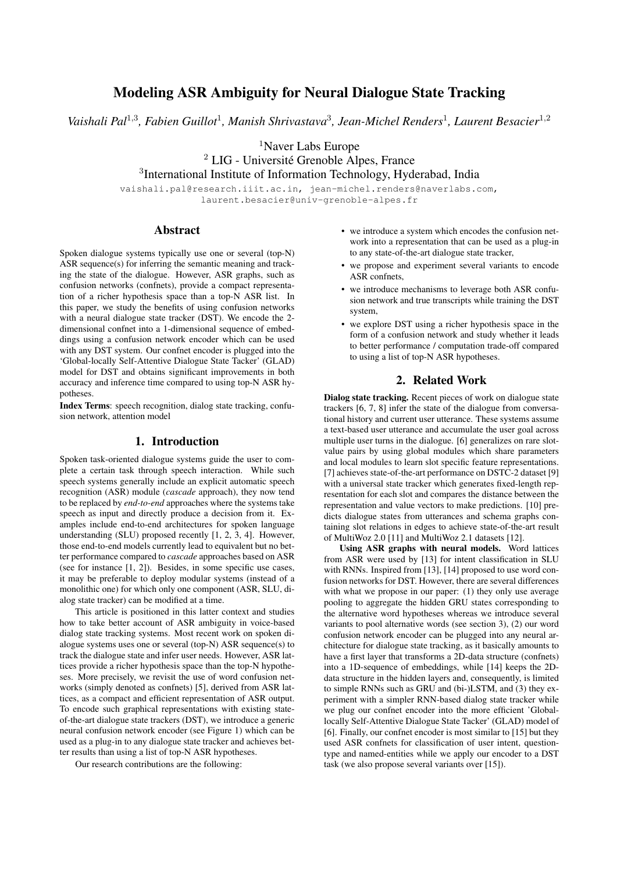# Modeling ASR Ambiguity for Neural Dialogue State Tracking

Vaishali Pal<sup>1,3</sup>, Fabien Guillot<sup>1</sup>, Manish Shrivastava<sup>3</sup>, Jean-Michel Renders<sup>1</sup>, Laurent Besacier<sup>1,2</sup>

<sup>1</sup>Naver Labs Europe

 $2$  LIG - Université Grenoble Alpes, France 3 International Institute of Information Technology, Hyderabad, India

vaishali.pal@research.iiit.ac.in, jean-michel.renders@naverlabs.com, laurent.besacier@univ-grenoble-alpes.fr

## Abstract

Spoken dialogue systems typically use one or several (top-N) ASR sequence(s) for inferring the semantic meaning and tracking the state of the dialogue. However, ASR graphs, such as confusion networks (confnets), provide a compact representation of a richer hypothesis space than a top-N ASR list. In this paper, we study the benefits of using confusion networks with a neural dialogue state tracker (DST). We encode the 2 dimensional confnet into a 1-dimensional sequence of embeddings using a confusion network encoder which can be used with any DST system. Our confnet encoder is plugged into the 'Global-locally Self-Attentive Dialogue State Tacker' (GLAD) model for DST and obtains significant improvements in both accuracy and inference time compared to using top-N ASR hypotheses.

Index Terms: speech recognition, dialog state tracking, confusion network, attention model

## 1. Introduction

Spoken task-oriented dialogue systems guide the user to complete a certain task through speech interaction. While such speech systems generally include an explicit automatic speech recognition (ASR) module (*cascade* approach), they now tend to be replaced by *end-to-end* approaches where the systems take speech as input and directly produce a decision from it. Examples include end-to-end architectures for spoken language understanding (SLU) proposed recently [1, 2, 3, 4]. However, those end-to-end models currently lead to equivalent but no better performance compared to *cascade* approaches based on ASR (see for instance [1, 2]). Besides, in some specific use cases, it may be preferable to deploy modular systems (instead of a monolithic one) for which only one component (ASR, SLU, dialog state tracker) can be modified at a time.

This article is positioned in this latter context and studies how to take better account of ASR ambiguity in voice-based dialog state tracking systems. Most recent work on spoken dialogue systems uses one or several (top-N) ASR sequence(s) to track the dialogue state and infer user needs. However, ASR lattices provide a richer hypothesis space than the top-N hypotheses. More precisely, we revisit the use of word confusion networks (simply denoted as confnets) [5], derived from ASR lattices, as a compact and efficient representation of ASR output. To encode such graphical representations with existing stateof-the-art dialogue state trackers (DST), we introduce a generic neural confusion network encoder (see Figure 1) which can be used as a plug-in to any dialogue state tracker and achieves better results than using a list of top-N ASR hypotheses.

Our research contributions are the following:

- we introduce a system which encodes the confusion network into a representation that can be used as a plug-in to any state-of-the-art dialogue state tracker,
- we propose and experiment several variants to encode ASR confnets,
- we introduce mechanisms to leverage both ASR confusion network and true transcripts while training the DST system,
- we explore DST using a richer hypothesis space in the form of a confusion network and study whether it leads to better performance / computation trade-off compared to using a list of top-N ASR hypotheses.

## 2. Related Work

Dialog state tracking. Recent pieces of work on dialogue state trackers [6, 7, 8] infer the state of the dialogue from conversational history and current user utterance. These systems assume a text-based user utterance and accumulate the user goal across multiple user turns in the dialogue. [6] generalizes on rare slotvalue pairs by using global modules which share parameters and local modules to learn slot specific feature representations. [7] achieves state-of-the-art performance on DSTC-2 dataset [9] with a universal state tracker which generates fixed-length representation for each slot and compares the distance between the representation and value vectors to make predictions. [10] predicts dialogue states from utterances and schema graphs containing slot relations in edges to achieve state-of-the-art result of MultiWoz 2.0 [11] and MultiWoz 2.1 datasets [12].

Using ASR graphs with neural models. Word lattices from ASR were used by [13] for intent classification in SLU with RNNs. Inspired from [13], [14] proposed to use word confusion networks for DST. However, there are several differences with what we propose in our paper: (1) they only use average pooling to aggregate the hidden GRU states corresponding to the alternative word hypotheses whereas we introduce several variants to pool alternative words (see section 3), (2) our word confusion network encoder can be plugged into any neural architecture for dialogue state tracking, as it basically amounts to have a first layer that transforms a 2D-data structure (confnets) into a 1D-sequence of embeddings, while [14] keeps the 2Ddata structure in the hidden layers and, consequently, is limited to simple RNNs such as GRU and (bi-)LSTM, and (3) they experiment with a simpler RNN-based dialog state tracker while we plug our confnet encoder into the more efficient 'Globallocally Self-Attentive Dialogue State Tacker' (GLAD) model of [6]. Finally, our confnet encoder is most similar to [15] but they used ASR confnets for classification of user intent, questiontype and named-entities while we apply our encoder to a DST task (we also propose several variants over [15]).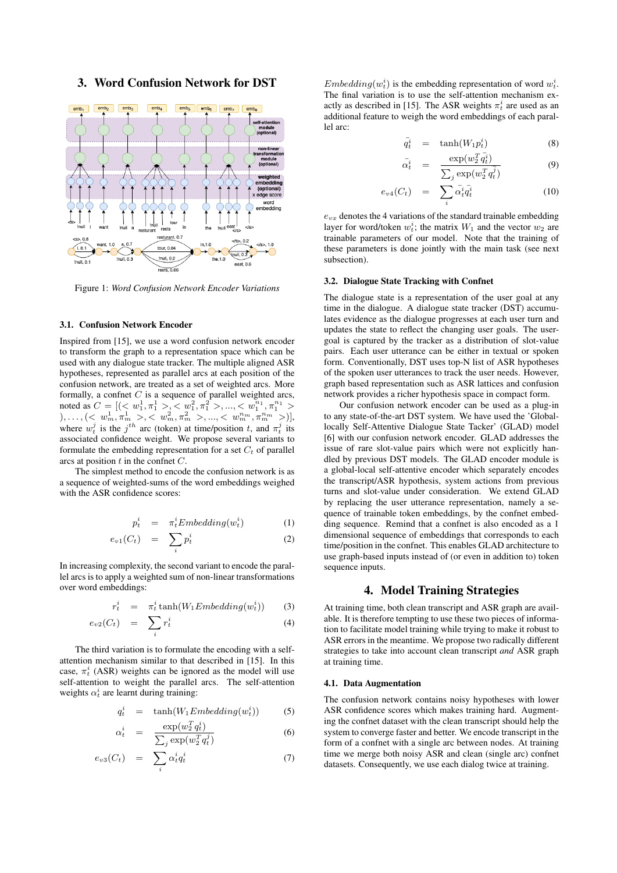## 3. Word Confusion Network for DST



Figure 1: *Word Confusion Network Encoder Variations*

#### 3.1. Confusion Network Encoder

Inspired from [15], we use a word confusion network encoder to transform the graph to a representation space which can be used with any dialogue state tracker. The multiple aligned ASR hypotheses, represented as parallel arcs at each position of the confusion network, are treated as a set of weighted arcs. More formally, a confnet  $C$  is a sequence of parallel weighted arcs, noted as  $C = [(-\sqrt{w_1^1}, \pi_1^1 > \sqrt{w_1^2}, \pi_1^2 > \dots, -\sqrt{w_1^{n_1}}, \pi_1^{n_1} >$  $), \ldots, (< w^1_m, \pi^1_m>, < w^2_m, \pi^2_m>, ..., < w^{n_m}_m, \pi^{n_m}_m>)],$ where  $w_t^j$  is the  $j^{th}$  arc (token) at time/position t, and  $\pi_t^j$  its associated confidence weight. We propose several variants to formulate the embedding representation for a set  $C_t$  of parallel arcs at position  $t$  in the confret  $C$ .

The simplest method to encode the confusion network is as a sequence of weighted-sums of the word embeddings weighed with the ASR confidence scores:

$$
p_t^i = \pi_t^i \pounds \text{mbedding}(w_t^i) \tag{1}
$$

$$
e_{v1}(C_t) = \sum_i p_t^i \tag{2}
$$

In increasing complexity, the second variant to encode the parallel arcs is to apply a weighted sum of non-linear transformations over word embeddings:

$$
r_t^i = \pi_t^i \tanh(W_1Embedding(w_t^i)) \qquad (3)
$$

$$
e_{v2}(C_t) = \sum_i r_i^i \tag{4}
$$

The third variation is to formulate the encoding with a selfattention mechanism similar to that described in [15]. In this case,  $\pi_t^i$  (ASR) weights can be ignored as the model will use self-attention to weight the parallel arcs. The self-attention weights  $\alpha_t^i$  are learnt during training:

$$
q_t^i = \tanh(W_1 \text{Embedding}(w_t^i)) \tag{5}
$$

$$
\alpha_t^i = \frac{\exp(w_2^T q_t^i)}{\sum_j \exp(w_2^T q_t^j)}
$$
(6)

$$
e_{v3}(C_t) = \sum_i \alpha_t^i q_t^i \tag{7}
$$

 $Embedding(w_t^i)$  is the embedding representation of word  $w_t^i$ . The final variation is to use the self-attention mechanism exactly as described in [15]. The ASR weights  $\pi_t^i$  are used as an additional feature to weigh the word embeddings of each parallel arc:

$$
\bar{q}_t^i = \tanh(W_1 p_t^i) \tag{8}
$$

$$
\bar{\alpha}_t^i = \frac{\exp(w_2^T \bar{q}_t^i)}{\sum_j \exp(w_2^T \bar{q}_t^j)}
$$
(9)

$$
e_{v4}(C_t) = \sum_i \bar{\alpha}_t^i \bar{q}_t^i \tag{10}
$$

 $e_{vx}$  denotes the 4 variations of the standard trainable embedding layer for word/token  $w_t^i$ ; the matrix  $W_1$  and the vector  $w_2$  are trainable parameters of our model. Note that the training of these parameters is done jointly with the main task (see next subsection).

#### 3.2. Dialogue State Tracking with Confnet

The dialogue state is a representation of the user goal at any time in the dialogue. A dialogue state tracker (DST) accumulates evidence as the dialogue progresses at each user turn and updates the state to reflect the changing user goals. The usergoal is captured by the tracker as a distribution of slot-value pairs. Each user utterance can be either in textual or spoken form. Conventionally, DST uses top-N list of ASR hypotheses of the spoken user utterances to track the user needs. However, graph based representation such as ASR lattices and confusion network provides a richer hypothesis space in compact form.

Our confusion network encoder can be used as a plug-in to any state-of-the-art DST system. We have used the 'Globallocally Self-Attentive Dialogue State Tacker' (GLAD) model [6] with our confusion network encoder. GLAD addresses the issue of rare slot-value pairs which were not explicitly handled by previous DST models. The GLAD encoder module is a global-local self-attentive encoder which separately encodes the transcript/ASR hypothesis, system actions from previous turns and slot-value under consideration. We extend GLAD by replacing the user utterance representation, namely a sequence of trainable token embeddings, by the confnet embedding sequence. Remind that a confnet is also encoded as a 1 dimensional sequence of embeddings that corresponds to each time/position in the confnet. This enables GLAD architecture to use graph-based inputs instead of (or even in addition to) token sequence inputs.

### 4. Model Training Strategies

At training time, both clean transcript and ASR graph are available. It is therefore tempting to use these two pieces of information to facilitate model training while trying to make it robust to ASR errors in the meantime. We propose two radically different strategies to take into account clean transcript *and* ASR graph at training time.

#### 4.1. Data Augmentation

The confusion network contains noisy hypotheses with lower ASR confidence scores which makes training hard. Augmenting the confnet dataset with the clean transcript should help the system to converge faster and better. We encode transcript in the form of a confnet with a single arc between nodes. At training time we merge both noisy ASR and clean (single arc) confnet datasets. Consequently, we use each dialog twice at training.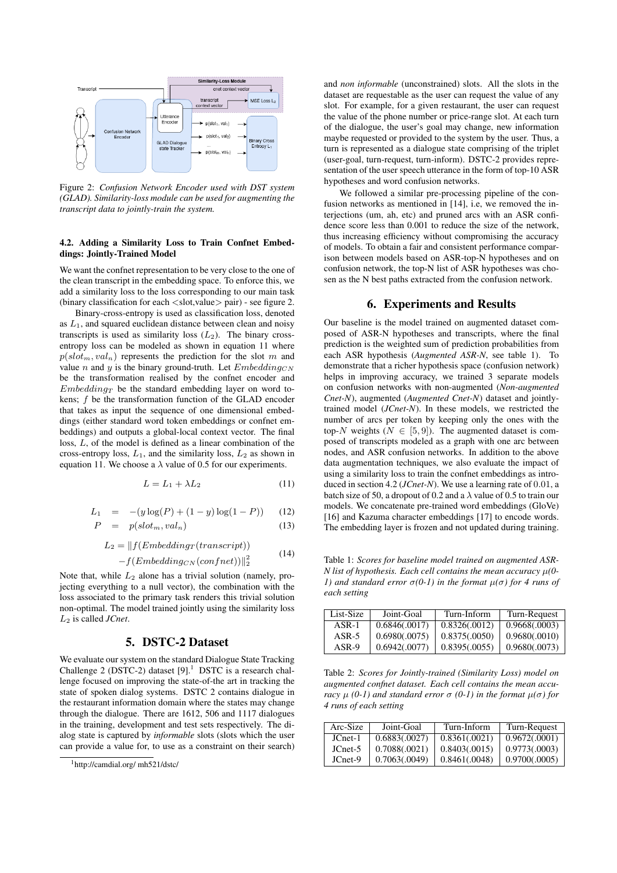

Figure 2: *Confusion Network Encoder used with DST system (GLAD). Similarity-loss module can be used for augmenting the transcript data to jointly-train the system.*

#### 4.2. Adding a Similarity Loss to Train Confnet Embeddings: Jointly-Trained Model

We want the confnet representation to be very close to the one of the clean transcript in the embedding space. To enforce this, we add a similarity loss to the loss corresponding to our main task (binary classification for each  $\langle$  slot,value $\rangle$  pair) - see figure 2.

Binary-cross-entropy is used as classification loss, denoted as  $L_1$ , and squared euclidean distance between clean and noisy transcripts is used as similarity loss  $(L_2)$ . The binary crossentropy loss can be modeled as shown in equation 11 where  $p(slot_m, val_n)$  represents the prediction for the slot m and value n and y is the binary ground-truth. Let  $Embedding_{CN}$ be the transformation realised by the confnet encoder and  $Embedding_T$  be the standard embedding layer on word tokens; f be the transformation function of the GLAD encoder that takes as input the sequence of one dimensional embeddings (either standard word token embeddings or confnet embeddings) and outputs a global-local context vector. The final loss, L, of the model is defined as a linear combination of the cross-entropy loss,  $L_1$ , and the similarity loss,  $L_2$  as shown in equation 11. We choose a  $\lambda$  value of 0.5 for our experiments.

$$
L = L_1 + \lambda L_2 \tag{11}
$$

$$
L_1 = -(y \log(P) + (1 - y) \log(1 - P)) \qquad (12)
$$

$$
P = p(slot_m, val_n) \tag{13}
$$

$$
L_2 = ||f(Embedding_T(transcript))
$$
\n
$$
L_2 = ||f(Embedding_T(transcript))
$$
\n
$$
(14)
$$

 $-f(Embedding_{CN}(confnet))\|_2^2$ 

Note that, while  $L_2$  alone has a trivial solution (namely, projecting everything to a null vector), the combination with the loss associated to the primary task renders this trivial solution non-optimal. The model trained jointly using the similarity loss L<sup>2</sup> is called *JCnet*.

#### 5. DSTC-2 Dataset

We evaluate our system on the standard Dialogue State Tracking Challenge 2 (DSTC-2) dataset  $[9]$ .<sup>1</sup> DSTC is a research challenge focused on improving the state-of-the art in tracking the state of spoken dialog systems. DSTC 2 contains dialogue in the restaurant information domain where the states may change through the dialogue. There are 1612, 506 and 1117 dialogues in the training, development and test sets respectively. The dialog state is captured by *informable* slots (slots which the user can provide a value for, to use as a constraint on their search) and *non informable* (unconstrained) slots. All the slots in the dataset are requestable as the user can request the value of any slot. For example, for a given restaurant, the user can request the value of the phone number or price-range slot. At each turn of the dialogue, the user's goal may change, new information maybe requested or provided to the system by the user. Thus, a turn is represented as a dialogue state comprising of the triplet (user-goal, turn-request, turn-inform). DSTC-2 provides representation of the user speech utterance in the form of top-10 ASR hypotheses and word confusion networks.

We followed a similar pre-processing pipeline of the confusion networks as mentioned in [14], i.e, we removed the interjections (um, ah, etc) and pruned arcs with an ASR confidence score less than 0.001 to reduce the size of the network, thus increasing efficiency without compromising the accuracy of models. To obtain a fair and consistent performance comparison between models based on ASR-top-N hypotheses and on confusion network, the top-N list of ASR hypotheses was chosen as the N best paths extracted from the confusion network.

#### 6. Experiments and Results

Our baseline is the model trained on augmented dataset composed of ASR-N hypotheses and transcripts, where the final prediction is the weighted sum of prediction probabilities from each ASR hypothesis (*Augmented ASR-N*, see table 1). To demonstrate that a richer hypothesis space (confusion network) helps in improving accuracy, we trained 3 separate models on confusion networks with non-augmented (*Non-augmented Cnet-N*), augmented (*Augmented Cnet-N*) dataset and jointlytrained model (*JCnet-N*). In these models, we restricted the number of arcs per token by keeping only the ones with the top-N weights ( $N \in [5, 9]$ ). The augmented dataset is composed of transcripts modeled as a graph with one arc between nodes, and ASR confusion networks. In addition to the above data augmentation techniques, we also evaluate the impact of using a similarity loss to train the confnet embeddings as introduced in section 4.2 (*JCnet-N*). We use a learning rate of 0.01, a batch size of 50, a dropout of 0.2 and a  $\lambda$  value of 0.5 to train our models. We concatenate pre-trained word embeddings (GloVe) [16] and Kazuma character embeddings [17] to encode words. The embedding layer is frozen and not updated during training.

Table 1: *Scores for baseline model trained on augmented ASR-N list of hypothesis. Each cell contains the mean accuracy* µ*(0- 1)* and standard error  $σ(0-1)$  in the format  $μ(σ)$  for 4 runs of *each setting*

| List-Size | Joint-Goal    | Turn-Inform   | Turn-Request  |
|-----------|---------------|---------------|---------------|
| $ASR-1$   | 0.6846(.0017) | 0.8326(.0012) | 0.9668(.0003) |
| $ASR-5$   | 0.6980(.0075) | 0.8375(.0050) | 0.9680(.0010) |
| $ASR-9$   | 0.6942(.0077) | 0.8395(.0055) | 0.9680(.0073) |

Table 2: *Scores for Jointly-trained (Similarity Loss) model on augmented confnet dataset. Each cell contains the mean accuracy*  $\mu$  (0-1) and standard error  $\sigma$  (0-1) in the format  $\mu(\sigma)$  for *4 runs of each setting*

| Arc-Size | Joint-Goal    | Turn-Inform   | Turn-Request  |
|----------|---------------|---------------|---------------|
| JCnet-1  | 0.6883(.0027) | 0.8361(.0021) | 0.9672(.0001) |
| JCnet-5  | 0.7088(.0021) | 0.8403(.0015) | 0.9773(.0003) |
| JCnet-9  | 0.7063(.0049) | 0.8461(.0048) | 0.9700(.0005) |

<sup>1</sup>http://camdial.org/ mh521/dstc/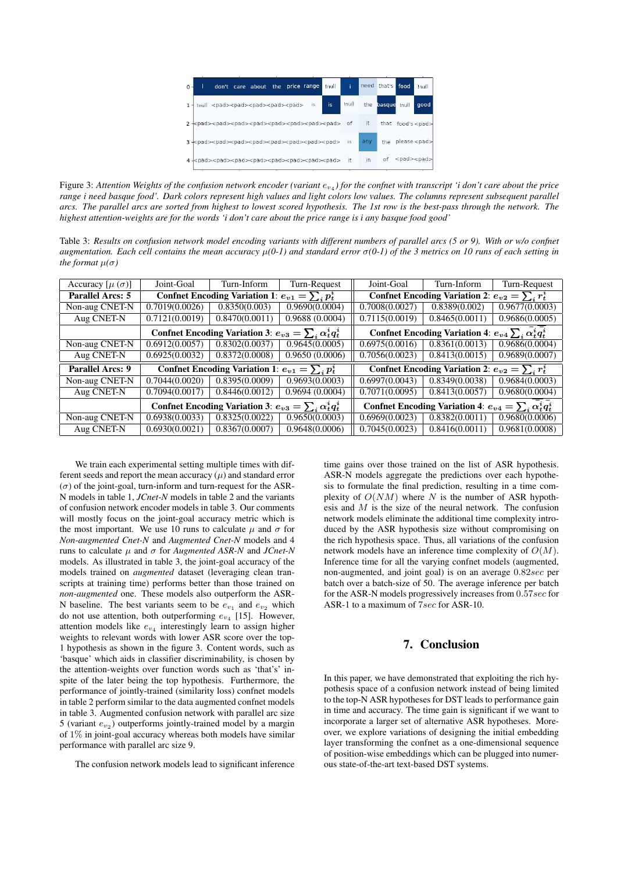

Figure 3: Attention Weights of the confusion network encoder (variant  $e_{v_4}$ ) for the confnet with transcript *'i don't care about the price range i need basque food'. Dark colors represent high values and light colors low values. The columns represent subsequent parallel arcs. The parallel arcs are sorted from highest to lowest scored hypothesis. The 1st row is the best-pass through the network. The highest attention-weights are for the words 'i don't care about the price range is i any basque food good'*

Table 3: *Results on confusion network model encoding variants with different numbers of parallel arcs (5 or 9). With or w/o confnet augmentation. Each cell contains the mean accuracy* µ*(0-1) and standard error* σ*(0-1) of the 3 metrics on 10 runs of each setting in the format*  $\mu(\sigma)$ 

| Accuracy $[\mu (\sigma)]$                                         | Joint-Goal                                                       | Turn-Inform    | Turn-Request                                                      | Joint-Goal                                             | Turn-Inform                                                    | Turn-Request   |  |
|-------------------------------------------------------------------|------------------------------------------------------------------|----------------|-------------------------------------------------------------------|--------------------------------------------------------|----------------------------------------------------------------|----------------|--|
| Parallel Arcs: 5                                                  | Confret Encoding Variation 1: $e_{v1} = \sum_i p_t^i$            |                |                                                                   | Confret Encoding Variation 2: $e_{v2} = \sum_i r_i^i$  |                                                                |                |  |
| Non-aug CNET-N                                                    | 0.7019(0.0026)                                                   | 0.8350(0.003)  | 0.9690(0.0004)                                                    | 0.7008(0.0027)                                         | 0.8389(0.002)                                                  | 0.9677(0.0003) |  |
| Aug CNET-N                                                        | 0.7121(0.0019)                                                   | 0.8470(0.0011) | 0.9688(0.0004)                                                    | 0.7115(0.0019)                                         | 0.8465(0.0011)                                                 | 0.9686(0.0005) |  |
|                                                                   | Confret Encoding Variation 3: $e_{v3} = \sum_i \alpha_i^i q_i^i$ |                |                                                                   |                                                        | Confret Encoding Variation 4: $e_{v4} \sum_i \alpha_i^i q_t^i$ |                |  |
| Non-aug CNET-N                                                    | 0.6912(0.0057)                                                   | 0.8302(0.0037) | 0.9645(0.0005)                                                    | 0.6975(0.0016)                                         | 0.8361(0.0013)                                                 | 0.9686(0.0004) |  |
| Aug CNET-N                                                        | 0.6925(0.0032)                                                   | 0.8372(0.0008) | 0.9650(0.0006)                                                    | 0.7056(0.0023)                                         | 0.8413(0.0015)                                                 | 0.9689(0.0007) |  |
| Parallel Arcs: 9                                                  | Confrict Encoding Variation 1: $e_{v1} = \sum_i p_t^i$           |                |                                                                   | Confrict Encoding Variation 2: $e_{v2} = \sum_i r_i^i$ |                                                                |                |  |
| Non-aug CNET-N                                                    | 0.7044(0.0020)                                                   | 0.8395(0.0009) | 0.9693(0.0003)                                                    | 0.6997(0.0043)                                         | 0.8349(0.0038)                                                 | 0.9684(0.0003) |  |
| Aug CNET-N                                                        | 0.7094(0.0017)                                                   | 0.8446(0.0012) | 0.9694(0.0004)                                                    | 0.7071(0.0095)                                         | 0.8413(0.0057)                                                 | 0.9680(0.0004) |  |
| Confrict Encoding Variation 3: $e_{v3} = \sum_i \alpha_t^i q_t^i$ |                                                                  |                | Confrict Encoding Variation 4: $e_{v4} = \sum_i \alpha_t^i q_t^i$ |                                                        |                                                                |                |  |
| Non-aug CNET-N                                                    | 0.6938(0.0033)                                                   | 0.8325(0.0022) | 0.9650(0.0003)                                                    | 0.6969(0.0023)                                         | 0.8382(0.0011)                                                 | 0.9680(0.0006) |  |
| Aug CNET-N                                                        | 0.6930(0.0021)                                                   | 0.8367(0.0007) | 0.9648(0.0006)                                                    | 0.7045(0.0023)                                         | 0.8416(0.0011)                                                 | 0.9681(0.0008) |  |

We train each experimental setting multiple times with different seeds and report the mean accuracy  $(\mu)$  and standard error  $(\sigma)$  of the joint-goal, turn-inform and turn-request for the ASR-N models in table 1, *JCnet-N* models in table 2 and the variants of confusion network encoder models in table 3. Our comments will mostly focus on the joint-goal accuracy metric which is the most important. We use 10 runs to calculate  $\mu$  and  $\sigma$  for *Non-augmented Cnet-N* and *Augmented Cnet-N* models and 4 runs to calculate µ and σ for *Augmented ASR-N* and *JCnet-N* models. As illustrated in table 3, the joint-goal accuracy of the models trained on *augmented* dataset (leveraging clean transcripts at training time) performs better than those trained on *non-augmented* one. These models also outperform the ASR-N baseline. The best variants seem to be  $e_{v_1}$  and  $e_{v_2}$  which do not use attention, both outperforming  $e_{v_4}$  [15]. However, attention models like  $e_{v_4}$  interestingly learn to assign higher weights to relevant words with lower ASR score over the top-1 hypothesis as shown in the figure 3. Content words, such as 'basque' which aids in classifier discriminability, is chosen by the attention-weights over function words such as 'that's' inspite of the later being the top hypothesis. Furthermore, the performance of jointly-trained (similarity loss) confnet models in table 2 perform similar to the data augmented confnet models in table 3. Augmented confusion network with parallel arc size 5 (variant  $e_{v_2}$ ) outperforms jointly-trained model by a margin of 1% in joint-goal accuracy whereas both models have similar performance with parallel arc size 9.

The confusion network models lead to significant inference

time gains over those trained on the list of ASR hypothesis. ASR-N models aggregate the predictions over each hypothesis to formulate the final prediction, resulting in a time complexity of  $O(NM)$  where N is the number of ASR hypothesis and  $M$  is the size of the neural network. The confusion network models eliminate the additional time complexity introduced by the ASR hypothesis size without compromising on the rich hypothesis space. Thus, all variations of the confusion network models have an inference time complexity of  $O(M)$ . Inference time for all the varying confnet models (augmented, non-augmented, and joint goal) is on an average 0.82sec per batch over a batch-size of 50. The average inference per batch for the ASR-N models progressively increases from 0.57sec for ASR-1 to a maximum of 7sec for ASR-10.

## 7. Conclusion

In this paper, we have demonstrated that exploiting the rich hypothesis space of a confusion network instead of being limited to the top-N ASR hypotheses for DST leads to performance gain in time and accuracy. The time gain is significant if we want to incorporate a larger set of alternative ASR hypotheses. Moreover, we explore variations of designing the initial embedding layer transforming the confnet as a one-dimensional sequence of position-wise embeddings which can be plugged into numerous state-of-the-art text-based DST systems.